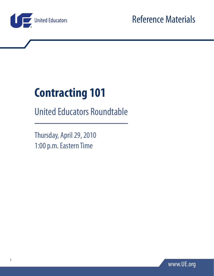

# **Contracting 101**

United Educators Roundtable

Thursday, April 29, 2010 1:00 p.m. Eastern Time

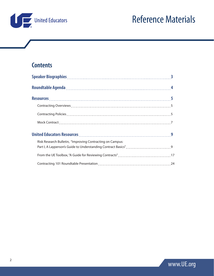

# **Contents**

| Risk Research Bulletin, "Improving Contracting on Campus: |  |
|-----------------------------------------------------------|--|
|                                                           |  |
|                                                           |  |

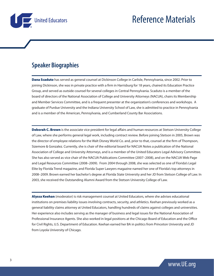

# **Speaker Biographies**

Dana Scaduto has served as general counsel at Dickinson College in Carlisle, Pennsylvania, since 2002. Prior to joining Dickinson, she was in private practice with a firm in Harrisburg for 18 years, chaired its Education Practice Group, and served as outside counsel for several colleges in Central Pennsylvania. Scaduto is a member of the board of directors of the National Association of College and University Attorneys (NACUA), chairs its Membership and Member Services Committee, and is a frequent presenter at the organization's conferences and workshops. A graduate of Purdue University and the Indiana University School of Law, she is admitted to practice in Pennsylvania and is a member of the American, Pennsylvania, and Cumberland County Bar Associations.

**Deborah C. Brown** is the associate vice president for legal affairs and human resources at Stetson University College of Law, where she performs general legal work, including contract review. Before joining Stetson in 2005, Brown was the director of employee relations for the Walt Disney World Co. and, prior to that, counsel at the firm of Thompson, Sizemore & Gonzalez. Currently, she is chair of the editorial board for NACUA Notes a publication of the National Association of College and University Attorneys, and is a member of the United Educators Legal Advisory Committee. She has also served as vice chair of the NACUA Publications Committee (2007–2008), and on the NACUA Web Page and Legal Resources Committee (2008–2009). From 2004 through 2008, she was selected as one of Florida's Legal Elite by Florida Trend magazine, and Florida Super Lawyers magazine named her one of Florida's top attorneys in 2008–2009. Brown earned her bachelor's degree at Florida State University and her JD from Stetson College of Law. In 2003, she received the Outstanding Alumni Award from the Stetson University College of Law.

Alyssa Keehan (moderator) is risk management counsel at United Educators, where she advises educational institutions on premises liability issues involving contracts, security, and athletics. Keehan previously worked as a general liability claims attorney at United Educators, handling hundreds of claims against colleges and universities. Her experience also includes serving as the manager of business and legal issues for the National Association of Professional Insurance Agents. She also worked in legal positions at the Chicago Board of Education and the Office for Civil Rights, U.S. Department of Education. Keehan earned her BA in politics from Princeton University and JD from Loyola University of Chicago.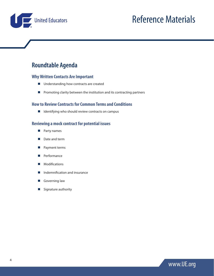

# **Roundtable Agenda**

#### **Why Written Contacts Are Important**

- $\blacksquare$  Understanding how contracts are created
- $\blacksquare$  Promoting clarity between the institution and its contracting partners

#### **How to Review Contracts for Common Terms and Conditions**

 $\blacksquare$  Identifying who should review contracts on campus

#### **Reviewing a mock contract for potential issues**

- **Party names**
- Date and term
- **Payment terms**
- **Performance**
- **Modifications**
- **Indemnification and insurance**
- Governing law
- Signature authority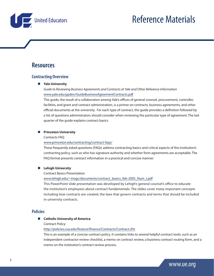

# **Resources**

#### **Contracting Overview**

#### **Yale University**

*Guide to Reviewing Business Agreements and Contracts at Yale and Other Reference Information* [www.yale.edu/ppdev/GuideBusinessAgreementContracts.pdf](http://www.yale.edu/ppdev/GuideBusinessAgreementContracts.pdf)

This guide, the result of a collaboration among Yale's offices of general counsel, procurement, controller, facilities, and grant and contract administration, is a primer on contracts, business agreements, and other official documents at the university. For each type of contract, the guide provides a definition followed by a list of questions administrators should consider when reviewing the particular type of agreement. The last quarter of the guide explains contract basics.

#### **Princeton University**

#### Contracts FAQ

#### [www.princeton.edu/contracting/contract-faqs/](http://www.princeton.edu/contracting/contract-faqs/)

These frequently asked questions (FAQs) address contracting basics and critical aspects of the institution's contracting policy, such as who has signature authority and whether form agreements are acceptable. The FAQ format presents contract information in a practical and concise manner.

#### **Lehigh University**

#### Contract Basics Presentation

[www.lehigh.edu/~inogc/documents/contract\\_basics\\_feb-2005\\_Num\\_I.pdf](http://www.lehigh.edu/~inogc/documents/contract_basics_feb-2005_Num_I.pdf)

This PowerPoint slide presentation was developed by Lehigh's general counsel's office to educate the institution's employees about contract fundamentals. The slides cover many important concepts including how contracts are created, the laws that govern contracts and terms that should be included in university contracts.

#### **Policies**

#### **Catholic University of America**

#### Contract Policy

#### <http://policies.cua.edu/finance/finance/Contracts/Contract.cfm>

This is an example of a concise contract policy. It contains links to several helpful contract tools, such as an independent contractor review checklist, a memo on contract review, a business contract routing form, and a memo on the institution's contract review process.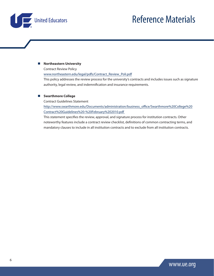



#### **Northeastern University**

Contract Review Policy

[www.northeastern.edu/legal/pdfs/Contract\\_Review\\_Poli.pdf](http://www.northeastern.edu/legal/pdfs/Contract_Review_Poli.pdf)

This policy addresses the review process for the university's contracts and includes issues such as signature authority, legal review, and indemnification and insurance requirements.

#### **Swarthmore College**

Contract Guidelines Statement

[http://www.swarthmore.edu/Documents/administration/business\\_office/Swarthmore%20College%20](http://http://www.swarthmore.edu/Documents/administration/business_office/Swarthmore%20College%20Contract%20Guidelines%20-%20February%202010.pdf) [Contract%20Guidelines%20-%20February%202010.pdf](http://http://www.swarthmore.edu/Documents/administration/business_office/Swarthmore%20College%20Contract%20Guidelines%20-%20February%202010.pdf) 

This statement specifies the review, approval, and signature process for institution contracts. Other noteworthy features include a contract review checklist, definitions of common contracting terms, and mandatory clauses to include in all institution contracts and to exclude from all institution contracts.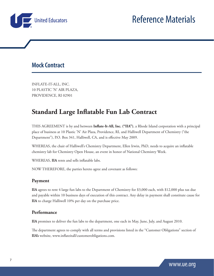

# **Mock Contract**

INFLATE-IT-ALL, INC. 10 PLASTIC 'N' AIR PLAZA, PROVIDENCE, RI 02901

# **Standard Large Inflatable Fun Lab Contract**

THIS AGREEMENT is by and between **Inflate-It-All, Inc. ("IIA")**, a Rhode Island corporation with a principal place of business at 10 Plastic 'N' Air Plaza, Providence, RI, and Halliwell Department of Chemistry ("the Department"), P.O. Box 341, Halliwell, CA, and is effective May 2009.

WHEREAS, the chair of Halliwell's Chemistry Department, Ellen Irwin, PhD, needs to acquire an inflatable chemistry lab for Chemistry Open House, an event in honor of National Chemistry Week.

WHEREAS, **IIA** rents and sells inflatable labs.

NOW THEREFORE, the parties hereto agree and covenant as follows:

#### **Payment**

**IIA** agrees to rent 4 large fun labs to the Department of Chemistry for \$3,000 each, with \$12,000 plus tax due and payable within 10 business days of execution of this contract. Any delay in payment shall constitute cause for **IIA** to charge Halliwell 10% per day on the purchase price.

#### **Performance**

**IIA** promises to deliver the fun labs to the department, one each in May, June, July, and August 2010.

The department agrees to comply with all terms and provisions listed in the "Customer Obligations" section of **IIA's** website, www.inflateitall/customerobligations.com.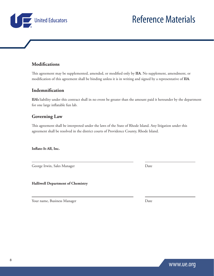**Modifications** This agreement may be supplemented, amended, or modified only by **IIA**. No supplement, amendment, or modification of this agreement shall be binding unless it is in writing and signed by a representative of **IIA**.

### **Indemnification**

United Educators

**IIA's** liability under this contract shall in no event be greater than the amount paid it hereunder by the department for one large inflatable fun lab.

## **Governing Law**

This agreement shall be interpreted under the laws of the State of Rhode Island. Any litigation under this agreement shall be resolved in the district courts of Providence County, Rhode Island.

**Inflate-It-All, Inc.**

 $\overline{a}$ 

 $\overline{a}$ 

George Irwin, Sales Manager Date

**Halliwell Department of Chemistry**

Your name, Business Manager Date

8

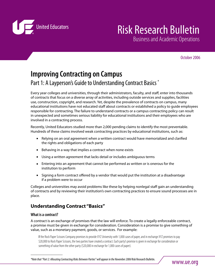

# Risk Research Bulletin

Business and Academic Operations

October 2006

# **Improving Contracting on Campus** Part 1: A Layperson's Guide to Understanding Contract Basics \*

Every year colleges and universities, through their administrators, faculty, and staff, enter into thousands of contracts that focus on a diverse array of activities, including outside services and supplies, facilities use, construction, copyright, and research. Yet, despite the prevalence of contracts on campus, many educational institutions have not educated staff about contracts or established a policy to quide employees responsible for contracting. The failure to understand contracts or a campus contracting policy can result in unexpected and sometimes serious liability for educational institutions and their employees who are involved in a contracting process.

Recently, United Educators studied more than 2,000 pending claims to identify the most preventable. Hundreds of these claims involved weak contracting practices by educational institutions, such as:

- **Relying on an oral agreement when a written contract would have memorialized and clarified** the rights and obligations of each party
- Behaving in a way that implies a contract when none exists
- Using a written agreement that lacks detail or includes ambiguous terms
- Entering into an agreement that cannot be performed as written or is onerous for the institution to perform
- Signing a form contract offered by a vendor that would put the institution at a disadvantage if a problem were to occur

Colleges and universities may avoid problems like these by helping nonlegal staff gain an understanding of contracts and by reviewing their institution's own contracting practices to ensure sound processes are in place.

# **Understanding Contract "Basics"**

#### **What is a contract?**

 $\frac{1}{2}$ 

A contract is an exchange of promises that the law will enforce. To create a legally enforceable contract, a promise must be given in exchange for consideration. Consideration is a promise to give something of value, such as a monetary payment, goods, or services. For example:

If the Rock Paper Scissors Company promises to provide XYZ University with 1,000 cases of paper, and in exchange XYZ promises to pay \$20,000 to Rock Paper Scissors, the two parties have created a contract. Each party's promise is given in exchange for consideration or something of value from the other party (\$20,000 in exchange for 1,000 cases of paper).

<sup>\*</sup>Note that "Part 2: Allocating Contracting Risks Between Parties" will appear in the November 2006 Risk Research Bulletin.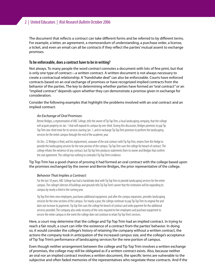The document that reflects a contract can take different forms and be referred to by different terms. For example, a letter, an agreement, a memorandum of understanding, a purchase order, a license, a ticket, and even an email can all be contracts if they reflect the parties' mutual assent to exchange promises.

#### **To be enforceable, does a contract have to be in writing?**

Not always. To many people the word contract connotes a document with lots of fine print, but that is only one type of contract—a written contract. A written document is not always necessary to create a contractual relationship. A "handshake deal" can also be enforceable. Courts have enforced contracts based on an oral exchange of promises or have recognized implied contracts from the behavior of the parties. The key to determining whether parties have formed an "oral contract" or an "implied contract" depends upon whether they can demonstrate a promise given in exchange for consideration.

Consider the following examples that highlight the problems involved with an oral contract and an implied contract:

#### An Exchange of Oral Promises:

Bernie Bridges, a representative of ABC College, tells the owner of Tip Top Trim, a local landscaping company, that the college will acquire property on Jan. 1 that will expand its campus by one-third. During this discussion, Bridges promises to pay Tip Top Trim one-third more for its services starting Jan. 1, and in exchange Tip Top Trim promises to perform the landscaping services for the entire campus through the end of the academic year.

On Dec. 22 Bridges is red, and his replacement, unaware of the oral contract with Tip Top Trim, retains Over the Hedge to provide the landscaping services for the new portion of the campus. Tip Top Trim sues the college for breach of contract. The college refutes the existence of any contract, but Tip Top Trim produces statements from its owner and Bridges that confirm the oral agreement. The college has nothing to contradict Tip Top Trim's evidence.

#### Tip Top Trim has a good chance of proving it had formed an oral contract with the college based upon the promises exchanged by the owner and Bernie Bridges, the prior representative of the college.

#### Behavior That Implies a Contract:

For the last 10 years, ABC College has had a handshake deal with Tip Top Trim to provide landscaping services for the entire campus. The college's director of buildings and grounds tells Tip Top Trim's owner that the institution will be expanding its campus by nearly a third in the coming year.

Tip Top Trim hires new employees, purchases additional equipment, and after the campus expansion, provides landscaping services for the new sections of the campus. For nearly a year, the college continues to pay Tip Top Trim its original fee and does not increase its payments. Tip Top Trim sues the college for breach of contract and seeks payment for the additional services provided. The company also seeks recovery of the costs required to hire employees and purchase equipment to service the entire campus in the event the college does not continue to retain Tip Top Trim's services.

Here, a court may determine that the college and Tip Top Trim had an implied contract. In trying to reach a fair result, a court can infer the existence of a contract from the parties' behavior. In doing so, it would consider the college's history of retaining the company without a written contract, the actions the company took in anticipation of the increased campus size, and the college's acceptance of Tip Top Trim's performance of landscaping services for the new portion of campus.

Even though neither arrangement between the college and Tip Top Trim involves a written exchange of promises, the college may still be obligated as if a written contract exists. Also, because neither an oral nor an implied contract involves a written document, the specific terms are vulnerable to the subjective and often faded memories of the representatives who negotiate these contracts. And if the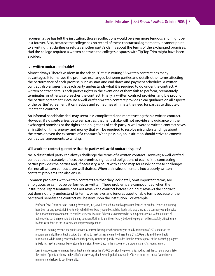representative has left the institution, those recollections would be even more tenuous and might be lost forever. Also, because the college has no record of these contractual agreements, it cannot point to a writing that clarifies or refutes another party's claims about the terms of the exchanged promises. Had the college required a written contract, the college's disputes with Tip Top Trim might have been avoided.

#### **Is a written contract preferable?**

Almost always. There's wisdom in the adage, "Get it in writing." A written contract has many advantages. It formalizes the promises exchanged between parties and details other terms affecting the performance of each promise, such as start and end dates and payment schedules. A written contract also ensures that each party understands what it is required to do under the contract. A written contract details each party's rights in the event one of them fails to perform, prematurely terminates, or otherwise breaches the contract. Finally, a written contract provides tangible proof of the parties' agreement. Because a well-drafted written contract provides clear guidance on all aspects of the parties' agreement, it can reduce and sometimes eliminate the need for parties to dispute or litigate the contract.

An informal handshake deal may seem less complicated and more trusting than a written contract. However, if a dispute arises between parties, that handshake will not provide any guidance on the exchanged promises or the rights and obligations of each party. A well-worded written contract saves an institution time, energy, and money that will be required to resolve misunderstandings about the terms or even the existence of a contract. When possible, an institution should strive to commit contractual agreements to writing.

#### **Will a written contract guarantee that the parties will avoid contract disputes?**

No. A dissatisfied party can always challenge the terms of a written contract. However, a well-drafted contract that accurately reflects the promises, rights, and obligations of each of the contracting parties provides the parties and, if necessary, a court with a road map for resolving these challenges. Yet, not all written contracts are well drafted. When an institution enters into a poorly written contract, problems can also ensue.

Common problems with written contracts are that they lack detail, omit important terms, are ambiguous, or cannot be performed as written. These problems are compounded when the institutional representative does not review the contract before signing it, reviews the contract but does not fully understand its terms, or reviews and ignores questionable terms because of the perceived benefits the contract will bestow upon the institution. For example:

Professor Oscar Optimistic and Learning Adventures, Inc., a well-reputed, national organization focused on outdoor leadership training, have been talking about a joint venture by which the university would establish a leadership program and the company would provide the outdoor training component to enrolled students. Learning Adventures is interested in gaining exposure to a wider audience of trainees who can then promote the training to others. Optimistic and the university believe the program will successfully attract future leaders as students to the university and improve its reputation.

Adventure Learning presents the professor with a contract that requires the university to enroll a minimum of 150 students in the program annually. The contract provides that failing to meet this requirement will result in a \$15,000 penalty and the contract's termination. While initially concerned about the penalty, Optimistic quickly concludes that the positive appeal of the leadership program is likely to attract a large number of students and signs the contract. In the first year of the program, only 75 students enroll.

Learning Adventures terminates the contract and demands the \$15,000 penalty. The professor is shocked that the company would take this action. Optimistic claims, on behalf of the university, that he employed all reasonable efforts to meet the contract's enrollment minimum and refuses to pay the penalty.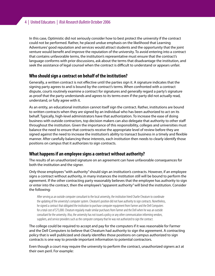In this case, Optimistic did not seriously consider how to best protect the university if the contract could not be performed. Rather, he placed undue emphasis on the likelihood that Learning Adventures' good reputation and services would attract students and the opportunity that the joint venture would benefit and improve the reputation of the university. To avoid entering into a contract that contains unfavorable terms, the institution's representative must ensure that the contract's language conforms with prior discussions, ask about the terms that disadvantage the institution, and seek the assistance of legal counsel when the contract is difficult to understand or appears unfair.

#### **Who should sign a contract on behalf of the institution?**

Generally, a written contract is not effective until the parties sign it. A signature indicates that the signing party agrees to and is bound by the contract's terms. When confronted with a contract dispute, courts routinely examine a contract for signatures and generally regard a party's signature as proof that the party understands and agrees to its terms even if the party did not actually read, understand, or fully agree with it.

As an entity, an educational institution cannot itself sign the contract. Rather, institutions are bound to written contracts when they are signed by an individual who has been authorized to act on its behalf. Typically, high-level administrators have that authorization. To increase the ease of doing business with outside contractors, top decision makers can also delegate that authority to other sta throughout the institution. Given the importance of this responsibility, colleges and universities must balance the need to ensure that contracts receive the appropriate level of review before they are signed against the need to increase the institution's ability to transact business in a timely and flexible manner. After carefully balancing these interests, each institution then needs to clearly identify those positions on campus that it authorizes to sign contracts.

#### **What happens if an employee signs a contract without authority?**

The results of an unauthorized signature on an agreement can have unfavorable consequences for both the institution and the signer.

Only those employees "with authority" should sign an institution's contracts. However, if an employee signs a contract without authority, in many instances the institution still will be bound to perform the agreement. If the other contracting party reasonably believes that the employee has authority to sign or enter into the contract, then the employee's "apparent authority" will bind the institution. Consider the following:

After serving as an outside computer consultant to the local university, the institution hired Charlie Cheatum to coordinate the updating of the university's computer system. Cheatum's position did not have authority to sign contracts. Nonetheless, he signed a contract that obligated the institution to purchase computer equipment from Farmer and the Dell Computers for a total cost of \$75,000. Cheatum regularly made similar purchases from Farmer and the Dell when he was an outside consultant for the university. Also, the university has not issued a policy or any other communication informing vendors, suppliers, and service providers such as the computer company that he was not authorized to sign the contract.

The college could be required to accept and pay for the computers if it was reasonable for Farmer and the Dell Computers to believe that Cheatum had authority to sign the agreement. A contracting policy that is well publicized and clearly identifies those positions on campus authorized to sign contracts is one way to provide important information to potential contractors.

Even though a court may require the university to perform the contract, unauthorized signers act at their own peril. For example: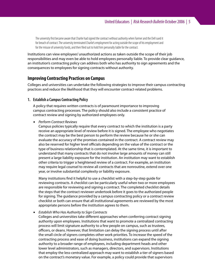The university first became aware that Charlie had signed the contract without authority when Farmer and the Dell sued it for breach of contract. The university terminated Charlie's employment for acting outside the scope of his employment and for the misuse of university funds, and then filed suit to hold him personally liable for the contract.

Institutions can view employees' unauthorized actions as taken outside the scope of their job responsibilities and may even be able to hold employees personally liable. To provide clear guidance, an institution's contracting policy can address both who has authority to sign agreements and the consequences to employees for signing contracts without authority.

#### **Improving Contracting Practices on Campus**

Colleges and universities can undertake the following strategies to improve their campus contracting practices and reduce the likelihood that they will encounter contract-related problems.

#### **1. Establish a Campus Contracting Policy**

A policy that requires written contracts is of paramount importance to improving campus contracting processes. The policy should also include a consistent practice of contract review and signing by authorized employees only.

■ Perform Contract Reviews

Campus policies typically require that every contract to which the institution is a party receive an appropriate level of review before it is signed. The employee who negotiates the contract may be the best person to perform the review because he or she can evaluate the accuracy of the promises contained in the contract. A contract review may also be reserved for higher level officials depending on the value of the contract or the type of business relationship that is contemplated. At the same time, it is important to understand that many contracts that do not involve large amounts of money can still present a large liability exposure for the institution. An institution may want to establish other criteria to trigger a heightened review of a contract. For example, an institution may require legal counsel to review all contracts that are nonroutine, extend over one year, or involve substantial complexity or liability exposure.

Many institutions find it helpful to use a checklist with a step-by-step quide for reviewing contracts. A checklist can be particularly useful when two or more employees are responsible for reviewing and signing a contract. The completed checklist details the steps that the contract reviewer undertook before it goes to the authorized people for signing. The guidance provided by a campus contracting policy or a contract review checklist or both can ensure that all institutional agreements are reviewed by the most appropriate persons before the institution agrees to them.

■ Establish Who Has Authority to Sign Contracts

Colleges and universities take different approaches when conferring contract signing authority upon employees. Institutions that want to promote a centralized contracting process will limit signature authority to a few people on campus, such as trustees, officers, or deans. However, that limitation can delay the signing process until after the small circle of signers completes other work priorities. To increase the speed of the contracting process and ease of doing business, institutions can expand the signing authority to a broader range of employees, including department heads and other lower level administrators, such as managers, directors, and supervisors. Institutions that employ the less-centralized approach may want to establish a tier of signers based on the contract's monetary value. For example, a policy could provide that supervisors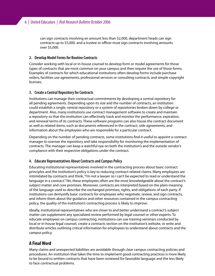can sign contracts involving an amount less than \$2,000, department heads can sign contracts up to \$5,000, and a trustee or officer must sign contracts involving amounts over \$5,000.

#### **2. Develop Model Forms for Routine Contracts**

Consider working with local or in-house counsel to develop form or model agreements for those types of contracts that are most common on your campus and then require the use of those forms. Examples of contracts for which educational institutions often develop forms include purchase orders, facilities use agreements, professional services or consulting contracts, and simple copyright licenses.

#### **3. Create a Central Repository for Contracts**

Institutions can manage their contractual commitments by developing a central repository for all pending agreements. Depending upon its size and the number of contracts, an institution could establish a single, central repository or a system of repositories broken down by college or department. Also, many institutions use contract management software to create and maintain a repository so that the institution can effectively track and monitor the performance, expiration, and renewal terms of its contracts. These software programs can also house the contract document as well as related items, such as documents referenced in the contract, side agreements, and information about the employees who are responsible for a particular contract.

Depending on the number of pending contracts, some institutions find it useful to appoint a contract manager to oversee the repository and take responsibility for monitoring the implementation of contracts. The manager can keep a watchful eye on both the institution's and the outside vendor's compliance with their respective obligations under the contract.

#### **4. Educate Representatives About Contracts and Campus Policy**

Educating institutional representatives involved in the contracting process about basic contract principles and the institution's policy is key to reducing contract-related claims. Many employees are intimidated by contracts and think, "I'm not a lawyer so I can't be expected to read or understand the language in a contract." Yet, these employees often are the most knowledgeable about the contract's subject matter and core promises. Moreover, contracts are interpreted based on the plain meaning of the language used to describe the exchanged promises, rights, and obligations of each party. If institutions can demystify basic contracts for employees who negotiate, review, and sign contracts, and inform them about the guidance and other resources contained in the campus contracting policy, the quality of the institution's contracting process is likely to improve.

Ideally, institutional representatives who are closer to and better understand a contract's subject matter can supplement any specialized review performed by legal counsel or other experts. To educate employees on campus contracting, institutions can use training seminars conducted by local or in-house legal counsel, create a contracts section on the institution's website, or write and distribute articles outlining critical information for employees to understand about contracts and the campus policy.

#### **A Final Word**

Many claims and unexpected liabilities are avoidable through clear campus contracting policies and procedures. An institution that takes the time to implement good contracting practices is more likely to be bound to written contracts that have been reviewed for favorable language and the less likely to face contractual problems.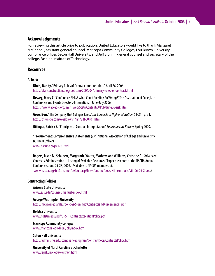#### **Acknowledgments**

For reviewing this article prior to publication, United Educators would like to thank Margaret McConnell, assistant general counsel, Maricopa Community Colleges, Lori Brown, university compliance officer, Seton Hall University, and Jeff Slonim, general counsel and secretary of the college, Fashion Institute of Technology.

#### **Resources**

#### **Articles**

**Birch, Randy.**"Primary Rules of Contract Interpretation." April 26, 2006. http://utahconstruction.blogspot.com/2006/04/primary-rules-of-contract.html

**Dewey, Mary C.**"Conference Risks? What Could Possibly Go Wrong?" The Association of Collegiate Conference and Events Directors-International, June-July 2006. https://www.acced-i.org/imis\_web/StaticContent/3/Pub/June06/risk.htm

**Gose, Ben.** "The Company that Colleges Keep." The Chronicle of Higher Education, 51(21), p. B1. http://chronicle.com/weekly/v51/i21/21b00101.htm

Ottinger, Patrick S. "Principles of Contract Interpretation." Louisiana Law Review, Spring 2000.

**"Procurement: Comprehensive Statements (2)."** National Association of College and University Business Officers. www.nacubo.org/x1287.xml

**Rogers, Jason B., Schubert, Margarath, Walter, Mathew, and Williams, Christine R.** "Advanced Contracts Administration—Listing of Available Resources." Paper presented at the NACUA Annual Conference, June 25-28, 2006. (Available to NACUA members at: www.nacua.org/fileStreamer/default.asp?file=/outline/docs/viii\_contracts/viii-06-06-2.doc.)

#### **Contracting Policies**

**Arizona State University** www.asu.edu/counsel/manual/index.html

**George Washington University** http://my.gwu.edu/files/policies/SigningofContractsandAgreements1.pdf

**Hofstra University** www.hofstra.edu/pdf/ORSP\_ContractExecutionPolicy.pdf

**Maricopa Community Colleges** www.maricopa.edu/legal/blc/index.htm

**Seton Hall University** http://admin.shu.edu/complianceprogram/ContractDocs/ContractsPolicy.htm

**University of North Carolina at Charlotte** www.legal.uncc.edu/contract.html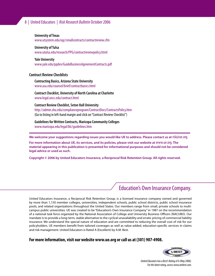#### 8 | United Educators | Risk Research Bulletin October 2006

#### **University of Texas**

www.utsystem.edu/ogc/smallcontracts/contractreview.cfm

#### **University of Tulsa**

www.utulsa.edu/research/PPG/contractreviewpolicy.html

#### **Yale University**

www.yale.edu/ppdev/GuideBusinessAgreementContracts.pdf

#### **Contract Review Checklists**

#### **Contracting Basics, Arizona State University** www.asu.edu/counsel/brief/contractbasics.html

**Contract Checklist, University of North Carolina at Charlotte** www.legal.uncc.edu/contract.html

**Contract Review Checklist, Seton Hall University**  http://admin.shu.edu/complianceprogram/ContractDocs/ContractsPolicy.htm (Go to listing in left-hand margin and click on "Contract Review Checklist")

**Guidelines for Written Contracts, Maricopa Community Colleges** www.maricopa.edu/legal/blc/guidelines.htm

**We welcome your suggestions regarding issues you would like UE to address. Please contact us at** risk@ue.org.

**For more information about UE, its services, and its policies, please visit our website at** www.ue.org. **The material appearing in this publication is presented for informational purposes and should not be considered legal advice or used as such.**

**Copyright © 2006 by United Educators Insurance, a Reciprocal Risk Retention Group. All rights reserved.**

# Education's Own Insurance Company.

United Educators Insurance, a Reciprocal Risk Retention Group, is a licensed insurance company owned and governed by more than 1,150 member colleges, universities, independent schools, public school districts, public school insurance pools, and related organizations throughout the United States. Our members range from small, private schools to multicampus public universities. UE was created to be "Education's Own Insurance Company" in 1987 on the recommendation of a national task force organized by the National Association of College and University Business Officers (NACUBO). Our mandate is to provide a long-term, stable alternative to the cyclical unavailability and erratic pricing of commercial liability insurance. We understand the special nature of education and are committed to reducing the overall cost of risk for our policyholders. UE members benefit from tailored coverages as well as value-added, education-specific services in claims and risk management. United Educators is Rated A (Excellent) by A.M. Best.

#### **For more information, visit our website www.ue.org or call us at (301) 907-4908.**



United Educators has a Best's Rating of A (May 2006). For the latest rating, access www.ambest.com.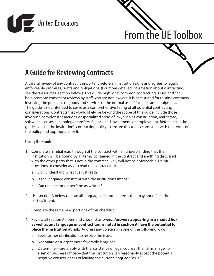



# **A Guide for Reviewing Contracts**

A careful review of any contract is important before an institution signs and agrees to legally enforceable promises, rights and obligations. (For more detailed information about contracting, see the "Resources" section below.) This guide highlights common contracting issues and can help promote consistent reviews by staff who are not lawyers. It is best suited for routine contracts involving the purchase of goods and services or the normal use of facilities and equipment. The guide is not intended to serve as a comprehensive listing of all potential contracting considerations. Contracts that would likely be beyond the scope of this guide include those involving complex transactions or specialized areas of law, such as construction, real estate, software licenses, technology transfers, finance and investment, or employment. Before using the guide, consult the institution's contracting policy to ensure this tool is consistent with the terms of the policy and appropriate for it.

#### **Using the Guide**

- 1. Complete an initial read through of the contract with an understanding that the institution will be bound by all terms contained in the contract and anything discussed with the other party that is not in the contract likely will not be enforceable. Helpful questions to consider as you read the contract include:
	- a. Do I understand what I've just read?
	- b. Is the language consistent with the institution's intent?
	- c. Can the institution perform as written?
- 2. Use section A below to note all language or contract terms that may not reflect the parties' intent.
- 3. Complete the remaining portions of this checklist.
- 4. Review all section A notes and checklist answers. **Answers appearing in a shaded box as well as any language or contract terms noted in section A have the potential to place the institution at risk**. Address any concerns in one of the following ways:
	- a. Seek further clarification to resolve the issue.
	- b. Negotiate or suggest more favorable language.
	- c. Determine—preferably with the assistance of legal counsel, the risk manager, or a senior business officer—that the institution can reasonably accept the potential negative consequences of leaving the current language "as is."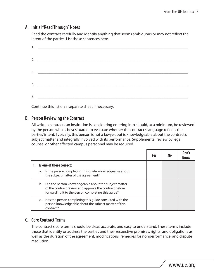### **A. Initial "Read Through" Notes**

Read the contract carefully and identify anything that seems ambiguous or may not reflect the intent of the parties. List those sentences here.

Continue this list on a separate sheet if necessary.

#### **B. Person Reviewing the Contract**

All written contracts an institution is considering entering into should, at a minimum, be reviewed by the person who is best situated to evaluate whether the contract's language reflects the parties' intent. Typically, this person is not a lawyer, but is knowledgeable about the contract's subject matter and integrally involved with its performance. Supplemental review by legal counsel or other affected campus personnel may be required.

|    |                                                                                                                                                                       | Yes | No | Don't<br>Know |
|----|-----------------------------------------------------------------------------------------------------------------------------------------------------------------------|-----|----|---------------|
|    | 1. Is one of these correct:                                                                                                                                           |     |    |               |
| a. | Is the person completing this guide knowledgeable about<br>the subject matter of the agreement?                                                                       |     |    |               |
| b. | Did the person knowledgeable about the subject matter<br>of the contract review and approve the contract before<br>forwarding it to the person completing this guide? |     |    |               |
| C. | Has the person completing this guide consulted with the<br>person knowledgeable about the subject matter of this<br>contract?                                         |     |    |               |

## **C. Core Contract Terms**

The contract's core terms should be clear, accurate, and easy to understand. These terms include those that identify or address the parties and their respective promises, rights, and obligations as well as the duration of the agreement, modifications, remedies for nonperformance, and dispute resolution.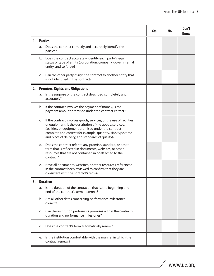|    |    |                                                                                                                                                                                                                                                                                                              | Yes | No | Don't<br><b>Know</b> |
|----|----|--------------------------------------------------------------------------------------------------------------------------------------------------------------------------------------------------------------------------------------------------------------------------------------------------------------|-----|----|----------------------|
| 1. |    | <b>Parties</b>                                                                                                                                                                                                                                                                                               |     |    |                      |
|    | a. | Does the contract correctly and accurately identify the<br>parties?                                                                                                                                                                                                                                          |     |    |                      |
|    | b. | Does the contract accurately identify each party's legal<br>status or type of entity (corporation, company, governmental<br>entity, and so forth)?                                                                                                                                                           |     |    |                      |
|    | c. | Can the other party assign the contract to another entity that<br>is not identified in the contract?                                                                                                                                                                                                         |     |    |                      |
| 2. |    | <b>Promises, Rights, and Obligations</b>                                                                                                                                                                                                                                                                     |     |    |                      |
|    | a. | Is the purpose of the contract described completely and<br>accurately?                                                                                                                                                                                                                                       |     |    |                      |
|    | b. | If the contract involves the payment of money, is the<br>payment amount promised under the contract correct?                                                                                                                                                                                                 |     |    |                      |
|    | C. | If the contract involves goods, services, or the use of facilities<br>or equipment, is the description of the goods, services,<br>facilities, or equipment promised under the contract<br>complete and correct (for example, quantity, size, type, time<br>and place of delivery, and standards of quality)? |     |    |                      |
|    | d. | Does the contract refer to any promise, standard, or other<br>term that is reflected in documents, websites, or other<br>resources that are not contained in or attached to the<br>contract?                                                                                                                 |     |    |                      |
|    | e. | Have all documents, websites, or other resources referenced<br>in the contract been reviewed to confirm that they are<br>consistent with the contract's terms?                                                                                                                                               |     |    |                      |
| د3 |    | <b>Duration</b>                                                                                                                                                                                                                                                                                              |     |    |                      |
|    | a. | Is the duration of the contract-that is, the beginning and<br>end of the contract's term-correct?                                                                                                                                                                                                            |     |    |                      |
|    | b. | Are all other dates concerning performance milestones<br>correct?                                                                                                                                                                                                                                            |     |    |                      |
|    | C. | Can the institution perform its promises within the contract's<br>duration and performance milestones?                                                                                                                                                                                                       |     |    |                      |
|    | d. | Does the contract's term automatically renew?                                                                                                                                                                                                                                                                |     |    |                      |
|    | e. | Is the institution comfortable with the manner in which the<br>contract renews?                                                                                                                                                                                                                              |     |    |                      |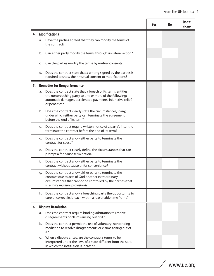|    |    |                                                                                                                                                                                                                | <b>Yes</b> | <b>No</b> | Don't<br><b>Know</b> |
|----|----|----------------------------------------------------------------------------------------------------------------------------------------------------------------------------------------------------------------|------------|-----------|----------------------|
| 4. |    | <b>Modifications</b>                                                                                                                                                                                           |            |           |                      |
|    | a. | Have the parties agreed that they can modify the terms of<br>the contract?                                                                                                                                     |            |           |                      |
|    | b. | Can either party modify the terms through unilateral action?                                                                                                                                                   |            |           |                      |
|    | C. | Can the parties modify the terms by mutual consent?                                                                                                                                                            |            |           |                      |
|    | d. | Does the contract state that a writing signed by the parties is<br>required to show their mutual consent to modifications?                                                                                     |            |           |                      |
| 5. |    | <b>Remedies for Nonperformance</b>                                                                                                                                                                             |            |           |                      |
|    | a. | Does the contract state that a breach of its terms entitles<br>the nonbreaching party to one or more of the following:<br>automatic damages, accelerated payments, injunctive relief,<br>or penalties?         |            |           |                      |
|    | b. | Does the contract clearly state the circumstances, if any,<br>under which either party can terminate the agreement<br>before the end of its term?                                                              |            |           |                      |
|    | c. | Does the contract require written notice of a party's intent to<br>terminate the contract before the end of its term?                                                                                          |            |           |                      |
|    | d. | Does the contract allow either party to terminate the<br>contract for cause?                                                                                                                                   |            |           |                      |
|    | e. | Does the contract clearly define the circumstances that can<br>prompt a for-cause termination?                                                                                                                 |            |           |                      |
|    | f. | Does the contract allow either party to terminate the<br>contract without cause or for convenience?                                                                                                            |            |           |                      |
|    | g. | Does the contract allow either party to terminate the<br>contract due to acts of God or other extraordinary<br>circumstances that cannot be controlled by the parties (that<br>is, a force majeure provision)? |            |           |                      |
|    | h. | Does the contract allow a breaching party the opportunity to<br>cure or correct its breach within a reasonable time frame?                                                                                     |            |           |                      |
| 6. |    | <b>Dispute Resolution</b>                                                                                                                                                                                      |            |           |                      |
|    | a. | Does the contract require binding arbitration to resolve<br>disagreements or claims arising out of it?                                                                                                         |            |           |                      |
|    | b. | Does the contract permit the use of voluntary, nonbinding<br>mediation to resolve disagreements or claims arising out of<br>it?                                                                                |            |           |                      |
|    | c. | When a dispute arises, are the contract's terms to be<br>interpreted under the laws of a state different from the state<br>in which the institution is located?                                                |            |           |                      |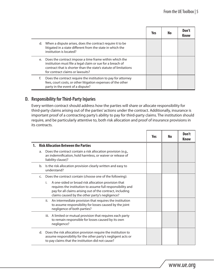|    |                                                                                                                                                                                                                              | Yes | No | Don't<br><b>Know</b> |
|----|------------------------------------------------------------------------------------------------------------------------------------------------------------------------------------------------------------------------------|-----|----|----------------------|
|    | d. When a dispute arises, does the contract require it to be<br>litigated in a state different from the state in which the<br>institution is located?                                                                        |     |    |                      |
| e. | Does the contract impose a time frame within which the<br>institution must file a legal claim or sue for a breach of<br>contract that is shorter than the state's statute of limitations<br>for contract claims or lawsuits? |     |    |                      |
| f. | Does the contract require the institution to pay for attorney<br>fees, court costs, or other litigation expenses of the other<br>party in the event of a dispute?                                                            |     |    |                      |

#### **D. Responsibility for Third-Party Injuries**

Every written contract should address how the parties will share or allocate responsibility for third-party claims arising out of the parties' actions under the contract. Additionally, insurance is important proof of a contracting party's ability to pay for third-party claims. The institution should require, and be particularly attentive to, both risk allocation and proof of insurance provisions in its contracts.

|    |                                                                                                                                                                                                                                        | Yes | No | Don't<br><b>Know</b> |
|----|----------------------------------------------------------------------------------------------------------------------------------------------------------------------------------------------------------------------------------------|-----|----|----------------------|
|    | <b>Risk Allocation Between the Parties</b>                                                                                                                                                                                             |     |    |                      |
| a. | Does the contract contain a risk allocation provision (e.g.,<br>an indemnification, hold harmless, or waiver or release of<br>liability clause)?                                                                                       |     |    |                      |
| b. | Is the risk allocation provision clearly written and easy to<br>understand?                                                                                                                                                            |     |    |                      |
| C. | Does the contract contain (choose one of the following):                                                                                                                                                                               |     |    |                      |
|    | A one-sided or broad risk allocation provision that<br>i.<br>requires the institution to assume full responsibility and<br>pay for all claims arising out of the contract, including<br>claims caused by the other party's negligence? |     |    |                      |
|    | An intermediate provision that requires the institution<br>ii.<br>to assume responsibility for losses caused by the joint<br>negligence of both parties?                                                                               |     |    |                      |
|    | iii. A limited or mutual provision that requires each party<br>to remain responsible for losses caused by its own<br>negligence?                                                                                                       |     |    |                      |
| d. | Does the risk allocation provision require the institution to<br>assume responsibility for the other party's negligent acts or<br>to pay claims that the institution did not cause?                                                    |     |    |                      |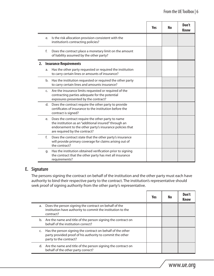|    |    |                                                                                                                                                                                                         | Yes | <b>No</b> | Don't<br><b>Know</b> |
|----|----|---------------------------------------------------------------------------------------------------------------------------------------------------------------------------------------------------------|-----|-----------|----------------------|
|    | e. | Is the risk allocation provision consistent with the<br>institution's contracting policies?                                                                                                             |     |           |                      |
|    | f. | Does the contract place a monetary limit on the amount<br>of liability assumed by the other party?                                                                                                      |     |           |                      |
| 2. |    | <b>Insurance Requirements</b>                                                                                                                                                                           |     |           |                      |
|    | a. | Has the other party requested or required the institution<br>to carry certain lines or amounts of insurance?                                                                                            |     |           |                      |
|    | b. | Has the institution requested or required the other party<br>to carry certain lines and amounts insurance?                                                                                              |     |           |                      |
|    | C. | Are the insurance limits requested or required of the<br>contracting parties adequate for the potential<br>exposures presented by the contract?                                                         |     |           |                      |
|    | d. | Does the contract require the other party to provide<br>certificates of insurance to the institution before the<br>contract is signed?                                                                  |     |           |                      |
|    | e. | Does the contract require the other party to name<br>the institution as an "additional insured" through an<br>endorsement to the other party's insurance policies that<br>are required by the contract? |     |           |                      |
|    | f. | Does the contract state that the other party's insurance<br>will provide primary coverage for claims arising out of<br>the contract?                                                                    |     |           |                      |
|    | g. | Has the institution obtained verification prior to signing<br>the contract that the other party has met all insurance<br>requirements?                                                                  |     |           |                      |

#### **E. Signature**

The persons signing the contract on behalf of the institution and the other party must each have authority to bind their respective party to the contract. The institution's representative should seek proof of signing authority from the other party's representative.

 $\Box$ 

|    |                                                                                                                                                   | Yes | No | Don't<br><b>Know</b> |
|----|---------------------------------------------------------------------------------------------------------------------------------------------------|-----|----|----------------------|
| a. | Does the person signing the contract on behalf of the<br>institution have authority to commit the institution to the<br>contract?                 |     |    |                      |
| b. | Are the name and title of the person signing the contract on<br>behalf of the institution correct?                                                |     |    |                      |
| C. | Has the person signing the contract on behalf of the other<br>party provided proof of his authority to commit the other<br>party to the contract? |     |    |                      |
| d. | Are the name and title of the person signing the contract on<br>behalf of the other party correct?                                                |     |    |                      |

٦

⊤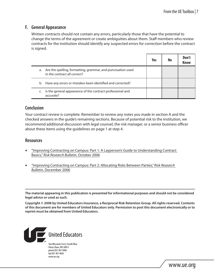#### **F. General Appearance**

Written contracts should not contain any errors, particularly those that have the potential to change the terms of the agreement or create ambiguities about them. Staff members who review contracts for the institution should identify any suspected errors for correction before the contract is signed.

|    |                                                                                             | Yes | No | Don't<br>Know |
|----|---------------------------------------------------------------------------------------------|-----|----|---------------|
| а. | Are the spelling, formatting, grammar, and punctuation used<br>in the contract all correct? |     |    |               |
| b. | Have any errors or mistakes been identified and corrected?                                  |     |    |               |
| C. | Is the general appearance of the contract professional and<br>accurate?                     |     |    |               |

#### **Conclusion**

Your contract review is complete. Remember to review any notes you made in section A and the checked answers in the guide's remaining sections. Because of potential risk to the institution, we recommend additional discussion with legal counsel, the risk manager, or a senior business officer about these items using the guidelines on page 1 at step 4.

#### **Resources**

- "Improving Contracting on Campus: Part 1: A Layperson's Guide to Understanding Contract [Basics,](http://www.ue.org/membersonly/GetDocument.asp?id=835)" *Risk Research Bulletin*, October 2006
- <sup>n</sup>["Improving Contracting on Campus: Part 2: Allocating Risks Between Parties,"](http://www.ue.org/membersonly/GetDocument.asp?id=848) *Risk Research Bulletin*[, December 2006](http://www.ue.org/membersonly/GetDocument.asp?id=848)

**The material appearing in this publication is presented for informational purposes and should not be considered legal advice or used as such.**

**Copyright © 2008 by United Educators Insurance, a Reciprocal Risk Retention Group. All rights reserved. Contents of this document are for members of United Educators only. Permission to post this document electronically or to reprint must be obtained from United Educators.**

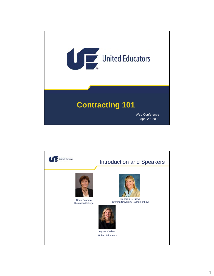

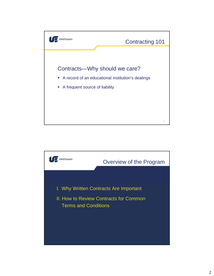

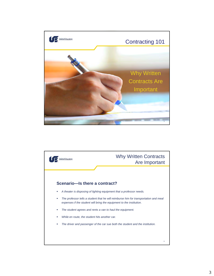

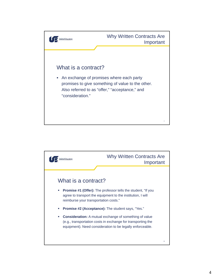

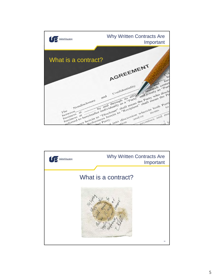

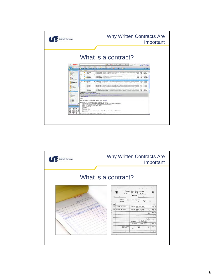

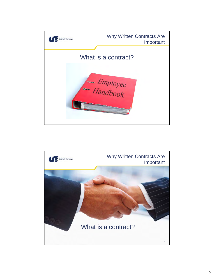

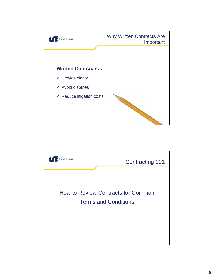

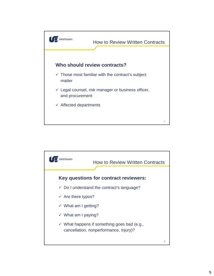

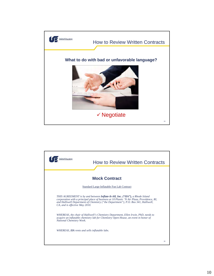

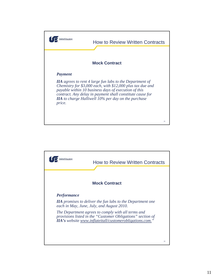

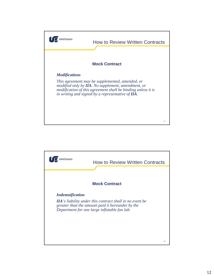

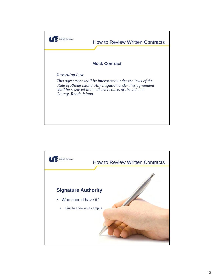

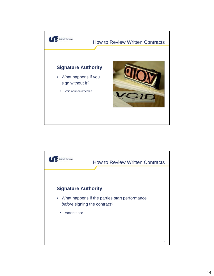

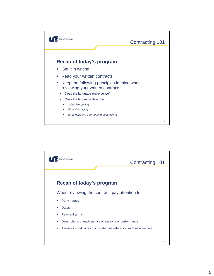

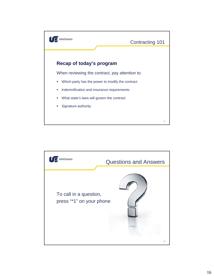